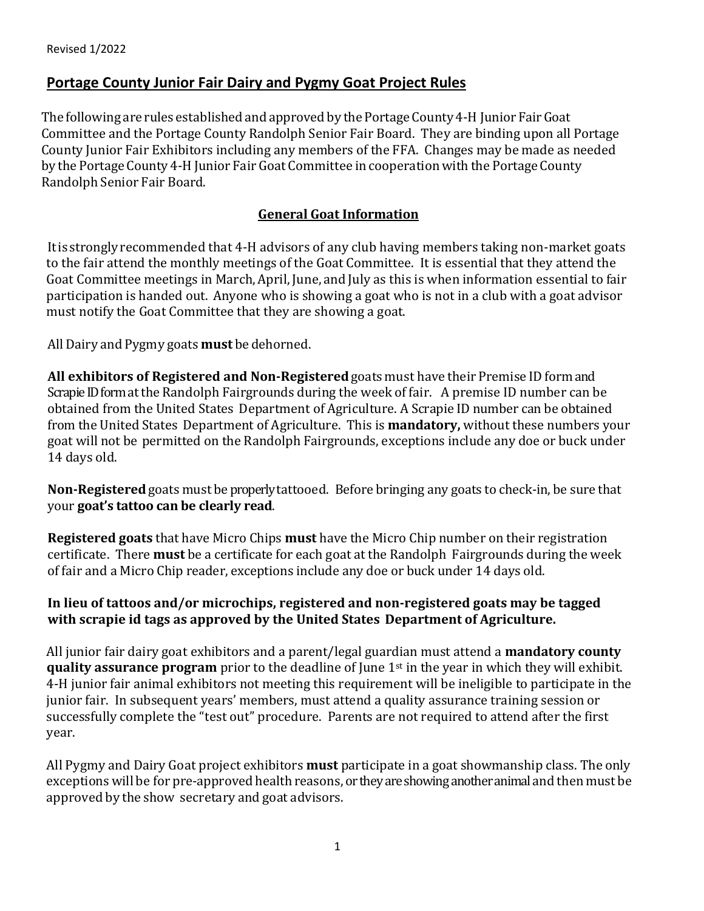The following are rules established and approved by the Portage County 4-H Junior Fair Goat Committee and the Portage County Randolph Senior Fair Board. They are binding upon all Portage County Junior Fair Exhibitors including any members of the FFA. Changes may be made as needed by the Portage County 4-H Junior Fair Goat Committee in cooperation with the Portage County Randolph Senior Fair Board.

# **General Goat Information**

 Itis stronglyrecommended that 4-H advisors of any club having members taking non-market goats to the fair attend the monthly meetings of the Goat Committee. It is essential that they attend the Goat Committee meetings in March,April, June, and July as this is when information essential to fair participation is handed out. Anyone who is showing a goat who is not in a club with a goat advisor must notify the Goat Committee that they are showing a goat.

AllDairy and Pygmy goats **must** be dehorned.

**All exhibitors of Registered and Non‐Registered** goats must have their Premise IDform and Scrapie ID form at the Randolph Fairgrounds during the week of fair. A premise ID number can be obtained from the United States Department of Agriculture. A Scrapie ID number can be obtained from the United States Department of Agriculture. This is **mandatory,** without these numbers your goat will not be permitted on the Randolph Fairgrounds, exceptions include any doe or buck under 14 days old.

**Non‐Registered** goats must be properly tattooed. Before bringing any goats to check-in, be sure that your **goat's tattoo can be clearly read**.

**Registered goats** that have Micro Chips **must** have the Micro Chip number on their registration certificate. There **must** be a certificate for each goat at the Randolph Fairgrounds during the week of fair and a Micro Chip reader, exceptions include any doe or buck under 14 days old.

#### **In lieu of tattoos and/or microchips, registered and non-registered goats may be tagged with scrapie id tags as approved by the United States Department of Agriculture.**

All junior fair dairy goat exhibitors and a parent/legal guardian must attend a **mandatory county quality assurance program** prior to the deadline of June 1<sup>st</sup> in the year in which they will exhibit. 4-H junior fair animal exhibitors not meeting this requirement will be ineligible to participate in the junior fair. In subsequent years' members, must attend a quality assurance training session or successfully complete the "test out" procedure. Parents are not required to attend after the first year.

All Pygmy and Dairy Goat project exhibitors **must** participate in a goat showmanship class. The only exceptions will be for pre-approved health reasons, or they are showing another animal and then must be approved by the show secretary and goat advisors.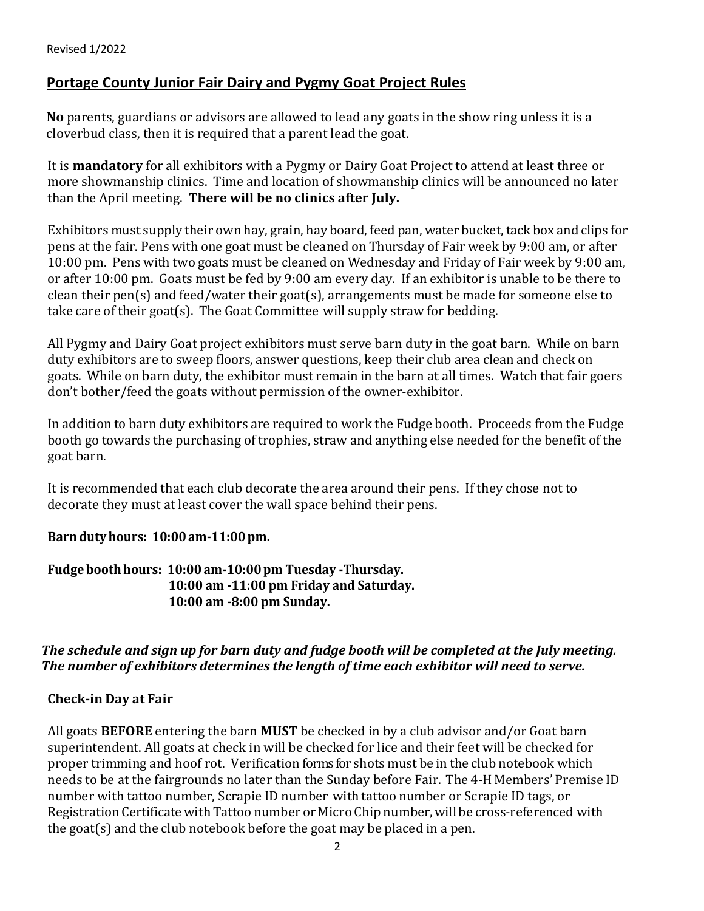**No** parents, guardians or advisors are allowed to lead any goats in the show ring unless it is a cloverbud class, then it is required that a parent lead the goat.

It is **mandatory** for all exhibitors with a Pygmy or Dairy Goat Project to attend at least three or more showmanship clinics. Time and location of showmanship clinics will be announced no later than the April meeting. **There will be no clinics after July.**

Exhibitors must supply their own hay, grain, hay board, feed pan, water bucket, tack box and clips for pens at the fair. Pens with one goat must be cleaned on Thursday of Fair week by 9:00 am, or after 10:00 pm. Pens with two goats must be cleaned on Wednesday and Friday of Fair week by 9:00 am, or after 10:00 pm. Goats must be fed by 9:00 am every day. If an exhibitor is unable to be there to clean their pen(s) and feed/water their goat(s), arrangements must be made for someone else to take care of their goat(s). The Goat Committee will supply straw for bedding.

All Pygmy and Dairy Goat project exhibitors must serve barn duty in the goat barn. While on barn duty exhibitors are to sweep floors, answer questions, keep their club area clean and check on goats. While on barn duty, the exhibitor must remain in the barn at all times. Watch that fair goers don't bother/feed the goats without permission of the owner-exhibitor.

In addition to barn duty exhibitors are required to work the Fudge booth. Proceeds from the Fudge booth go towards the purchasing of trophies, straw and anything else needed for the benefit of the goat barn.

 It is recommended that each club decorate the area around their pens. If they chose not to decorate they must at least cover the wall space behind their pens.

# **Barndutyhours: 10:00am-11:00pm.**

**Fudgebooth hours: 10:00am-10:00pm Tuesday -Thursday. 10:00 am -11:00 pm Friday and Saturday. 10:00 am -8:00 pm Sunday.**

# *The schedule and sign up for barn duty and fudge booth will be completed at the July meeting. The number of exhibitors determines the length of time each exhibitor will need to serve.*

# **Check-in Day at Fair**

All goats **BEFORE** entering the barn **MUST** be checked in by a club advisor and/or Goat barn superintendent. All goats at check in will be checked for lice and their feet will be checked for proper trimming and hoof rot. Verification forms for shots must be in the club notebook which needs to be at the fairgrounds no later than the Sunday before Fair. The 4‐H Members' Premise ID number with tattoo number, Scrapie ID number with tattoo number or Scrapie ID tags, or Registration Certificate with Tattoo number or Micro Chip number, will be cross-referenced with the goat(s) and the club notebook before the goat may be placed in a pen.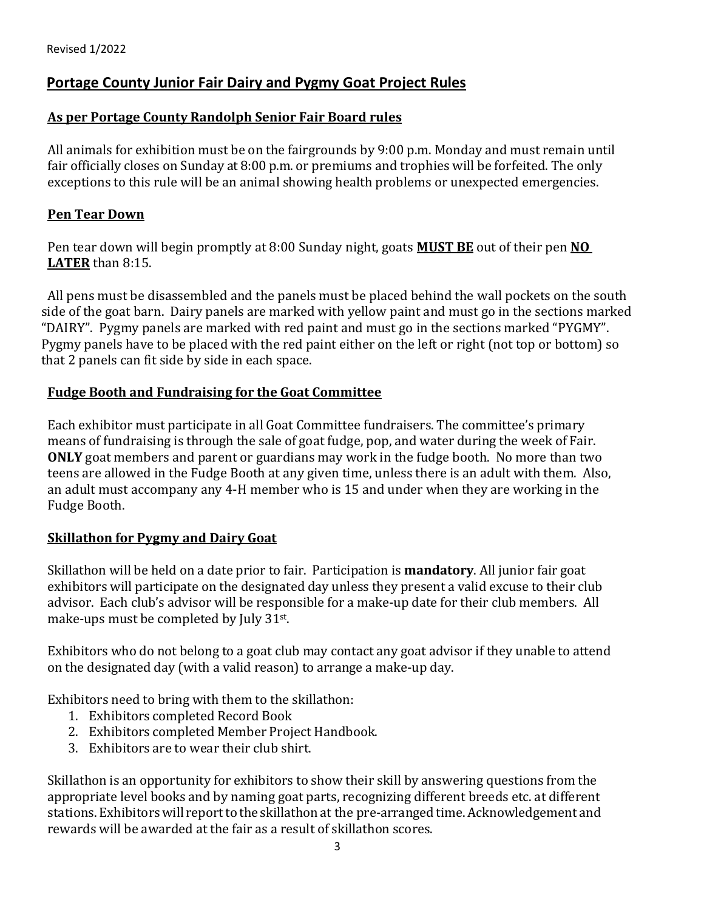#### **As per Portage County Randolph Senior Fair Board rules**

All animals for exhibition must be on the fairgrounds by 9:00 p.m. Monday and must remain until fair officially closes on Sunday at 8:00 p.m. or premiums and trophies will be forfeited. The only exceptions to this rule will be an animal showing health problems or unexpected emergencies.

#### **Pen Tear Down**

Pen tear down will begin promptly at 8:00 Sunday night, goats **MUST BE** out of their pen **NO LATER** than 8:15.

 All pens must be disassembled and the panels must be placed behind the wall pockets on the south side of the goat barn. Dairy panels are marked with yellow paint and must go in the sections marked "DAIRY". Pygmy panels are marked with red paint and must go in the sections marked "PYGMY". Pygmy panels have to be placed with the red paint either on the left or right (not top or bottom) so that 2 panels can fit side by side in each space.

#### **Fudge Booth and Fundraising for the Goat Committee**

Each exhibitor must participate in all Goat Committee fundraisers. The committee's primary means of fundraising is through the sale of goat fudge, pop, and water during the week of Fair. **ONLY** goat members and parent or guardians may work in the fudge booth. No more than two teens are allowed in the Fudge Booth at any given time, unless there is an adult with them. Also, an adult must accompany any 4-H member who is 15 and under when they are working in the Fudge Booth.

#### **Skillathon for Pygmy and Dairy Goat**

Skillathon will be held on a date prior to fair. Participation is **mandatory**. All junior fair goat exhibitors will participate on the designated day unless they present a valid excuse to their club advisor. Each club's advisor will be responsible for a make-up date for their club members. All make-ups must be completed by July 31st.

Exhibitors who do not belong to a goat club may contact any goat advisor if they unable to attend on the designated day (with a valid reason) to arrange a make-up day.

Exhibitors need to bring with them to the skillathon:

- 1. Exhibitors completed Record Book
- 2. Exhibitors completed Member Project Handbook.
- 3. Exhibitors are to wear their club shirt.

Skillathon is an opportunity for exhibitors to show their skill by answering questions from the appropriate level books and by naming goat parts, recognizing different breeds etc. at different stations.Exhibitorswill reportto the skillathon at the pre‐arranged time.Acknowledgement and rewards will be awarded at the fair as a result of skillathon scores.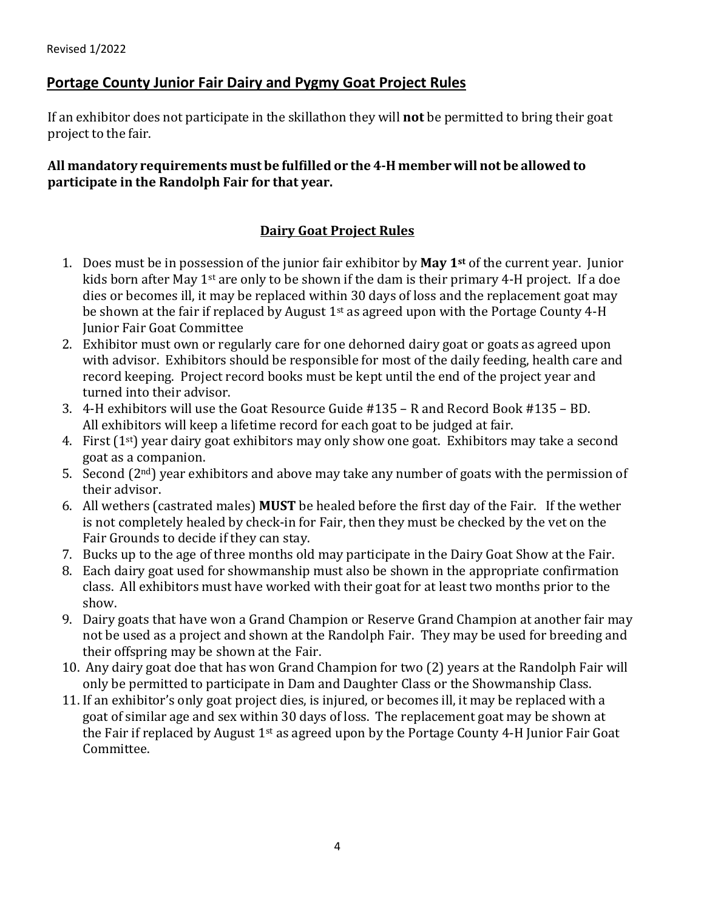If an exhibitor does not participate in the skillathon they will **not** be permitted to bring their goat project to the fair.

# **All mandatory requirements must be fulfilled or the 4‐H memberwill not be allowed to participate in the Randolph Fair for that year.**

# **Dairy Goat Project Rules**

- 1. Does must be in possession of the junior fair exhibitor by **May 1st** of the current year. Junior kids born after May 1st are only to be shown if the dam is their primary 4-H project. If a doe dies or becomes ill, it may be replaced within 30 days of loss and the replacement goat may be shown at the fair if replaced by August  $1<sup>st</sup>$  as agreed upon with the Portage County 4-H Junior Fair Goat Committee
- 2. Exhibitor must own or regularly care for one dehorned dairy goat or goats as agreed upon with advisor. Exhibitors should be responsible for most of the daily feeding, health care and record keeping. Project record books must be kept until the end of the project year and turned into their advisor.
- 3. 4-H exhibitors will use the Goat Resource Guide #135 R and Record Book #135 BD. All exhibitors will keep a lifetime record for each goat to be judged at fair.
- 4. First  $(1^{st})$  year dairy goat exhibitors may only show one goat. Exhibitors may take a second goat as a companion.
- 5. Second  $(2<sup>nd</sup>)$  year exhibitors and above may take any number of goats with the permission of their advisor.
- 6. All wethers (castrated males) **MUST** be healed before the first day of the Fair. If the wether is not completely healed by check-in for Fair, then they must be checked by the vet on the Fair Grounds to decide if they can stay.
- 7. Bucks up to the age of three months old may participate in the Dairy Goat Show at the Fair.
- 8. Each dairy goat used for showmanship must also be shown in the appropriate confirmation class. All exhibitors must have worked with their goat for at least two months prior to the show.
- 9. Dairy goats that have won a Grand Champion or Reserve Grand Champion at another fair may not be used as a project and shown at the Randolph Fair. They may be used for breeding and their offspring may be shown at the Fair.
- 10. Any dairy goat doe that has won Grand Champion for two (2) years at the Randolph Fair will only be permitted to participate in Dam and Daughter Class or the Showmanship Class.
- 11. If an exhibitor's only goat project dies, is injured, or becomes ill, it may be replaced with a goat of similar age and sex within 30 days of loss. The replacement goat may be shown at the Fair if replaced by August 1<sup>st</sup> as agreed upon by the Portage County 4-H Junior Fair Goat Committee.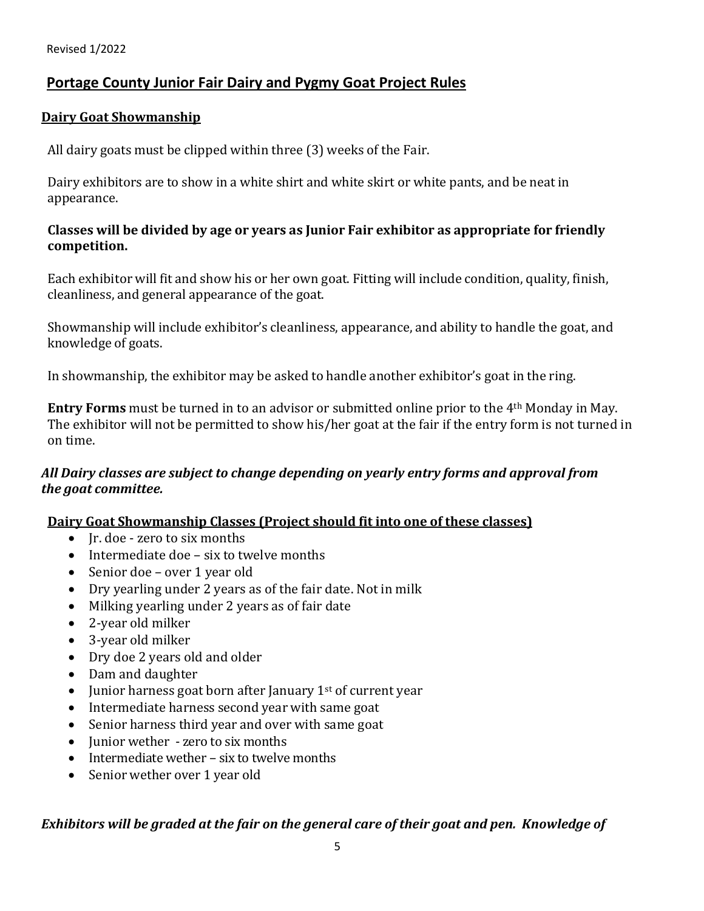#### **Dairy Goat Showmanship**

All dairy goats must be clipped within three (3) weeks of the Fair.

Dairy exhibitors are to show in a white shirt and white skirt or white pants, and be neat in appearance.

#### **Classes will be divided by age or years as Junior Fair exhibitor as appropriate for friendly competition.**

Each exhibitor will fit and show his or her own goat. Fitting will include condition, quality, finish, cleanliness, and general appearance of the goat.

Showmanship will include exhibitor's cleanliness, appearance, and ability to handle the goat, and knowledge of goats.

In showmanship, the exhibitor may be asked to handle another exhibitor's goat in the ring.

**Entry Forms** must be turned in to an advisor or submitted online prior to the 4th Monday in May. The exhibitor will not be permitted to show his/her goat at the fair if the entry form is not turned in on time.

# *All Dairy classes are subject to change depending on yearly entry forms and approval from the goat committee.*

# **Dairy Goat Showmanship Classes (Project should fit into one of these classes)**

- Jr. doe zero to six months
- Intermediate doe six to twelve months
- Senior doe over 1 year old
- Dry yearling under 2 years as of the fair date. Not in milk
- Milking yearling under 2 years as of fair date
- 2-year old milker
- 3-year old milker
- Dry doe 2 years old and older
- Dam and daughter
- Junior harness goat born after January  $1<sup>st</sup>$  of current year
- Intermediate harness second year with same goat
- Senior harness third year and over with same goat
- Junior wether zero to six months
- Intermediate wether six to twelve months
- Senior wether over 1 year old

# *Exhibitors will be graded at the fair on the general care of their goat and pen. Knowledge of*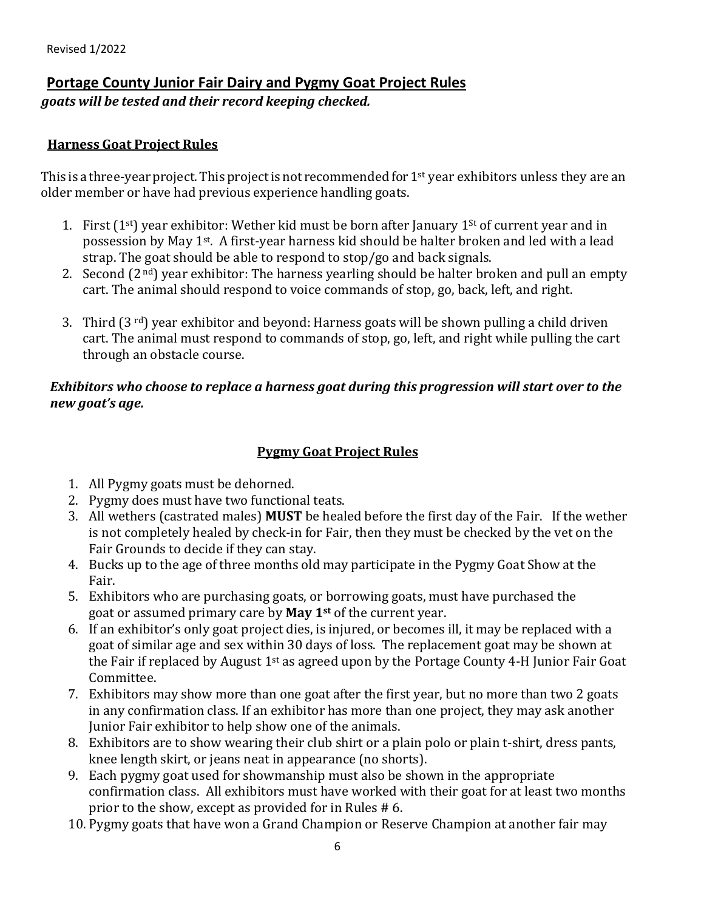*goats will be tested and their record keeping checked.*

# **Harness Goat Project Rules**

This is a three-year project. This project is not recommended for  $1<sup>st</sup>$  year exhibitors unless they are an older member or have had previous experience handling goats.

- 1. First  $(1^{st})$  year exhibitor: Wether kid must be born after January  $1^{st}$  of current year and in possession by May 1<sup>st</sup>. A first-year harness kid should be halter broken and led with a lead strap. The goat should be able to respond to stop/go and back signals.
- 2. Second  $(2<sup>nd</sup>)$  year exhibitor: The harness yearling should be halter broken and pull an empty cart. The animal should respond to voice commands of stop, go, back, left, and right.
- 3. Third  $(3^{rd})$  year exhibitor and beyond: Harness goats will be shown pulling a child driven cart. The animal must respond to commands of stop, go, left, and right while pulling the cart through an obstacle course.

# *Exhibitors who choose to replace a harness goat during this progression will start over to the new goat's age.*

# **Pygmy Goat Project Rules**

- 1. All Pygmy goats must be dehorned.
- 2. Pygmy does must have two functional teats.
- 3. All wethers (castrated males) **MUST** be healed before the first day of the Fair. If the wether is not completely healed by check-in for Fair, then they must be checked by the vet on the Fair Grounds to decide if they can stay.
- 4. Bucks up to the age of three months old may participate in the Pygmy Goat Show at the Fair.
- 5. Exhibitors who are purchasing goats, or borrowing goats, must have purchased the goat or assumed primary care by **May 1st** of the current year.
- 6. If an exhibitor's only goat project dies, is injured, or becomes ill, it may be replaced with a goat of similar age and sex within 30 days of loss. The replacement goat may be shown at the Fair if replaced by August  $1<sup>st</sup>$  as agreed upon by the Portage County 4-H Junior Fair Goat Committee.
- 7. Exhibitors may show more than one goat after the first year, but no more than two 2 goats in any confirmation class. If an exhibitor has more than one project, they may ask another Junior Fair exhibitor to help show one of the animals.
- 8. Exhibitors are to show wearing their club shirt or a plain polo or plain t-shirt, dress pants, knee length skirt, or jeans neat in appearance (no shorts).
- 9. Each pygmy goat used for showmanship must also be shown in the appropriate confirmation class. All exhibitors must have worked with their goat for at least two months prior to the show, except as provided for in Rules # 6.
- 10. Pygmy goats that have won a Grand Champion or Reserve Champion at another fair may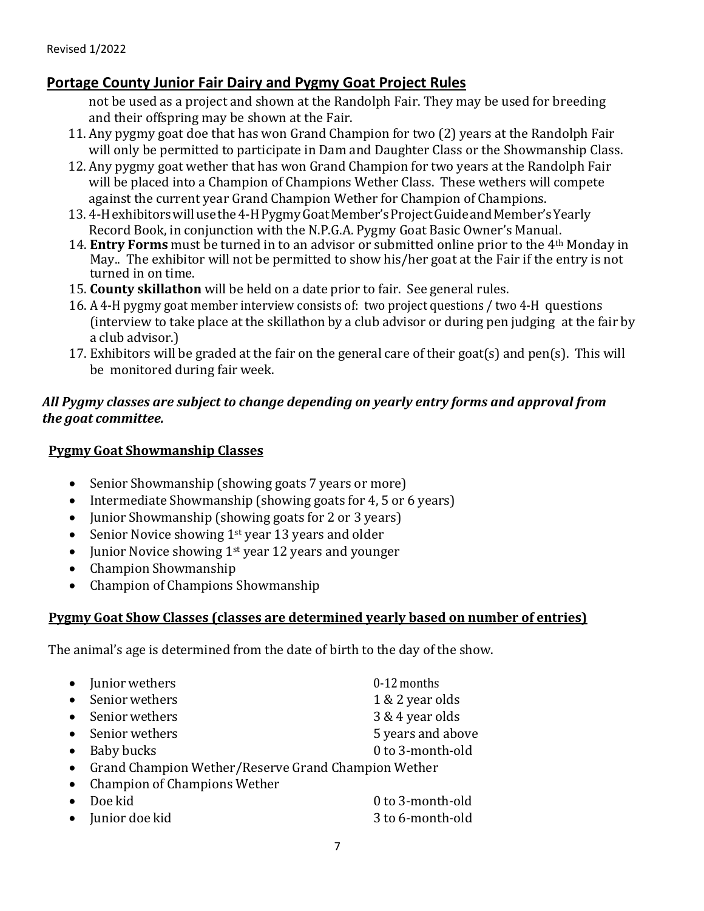not be used as a project and shown at the Randolph Fair. They may be used for breeding and their offspring may be shown at the Fair.

- 11. Any pygmy goat doe that has won Grand Champion for two (2) years at the Randolph Fair will only be permitted to participate in Dam and Daughter Class or the Showmanship Class.
- 12. Any pygmy goat wether that has won Grand Champion for two years at the Randolph Fair will be placed into a Champion of Champions Wether Class. These wethers will compete against the current year Grand Champion Wether for Champion of Champions.
- 13. 4-Hexhibitors will use the 4-H Pygmy Goat Member's Project Guide and Member's Yearly Record Book, in conjunction with the N.P.G.A. Pygmy Goat Basic Owner's Manual.
- 14. **Entry Forms** must be turned in to an advisor or submitted online prior to the 4th Monday in May.. The exhibitor will not be permitted to show his/her goat at the Fair if the entry is not turned in on time.
- 15. **County skillathon** will be held on a date prior to fair. See general rules.
- 16. A 4‐H pygmy goat member interview consists of: two project questions / two 4‐H questions (interview to take place at the skillathon by a club advisor or during pen judging at the fair by a club advisor.)
- 17. Exhibitors will be graded at the fair on the general care of their goat(s) and pen(s). This will be monitored during fair week.

# *All Pygmy classes are subject to change depending on yearly entry forms and approval from the goat committee.*

# **Pygmy Goat Showmanship Classes**

- Senior Showmanship (showing goats 7 years or more)
- Intermediate Showmanship (showing goats for 4, 5 or 6 years)
- Junior Showmanship (showing goats for 2 or 3 years)
- Senior Novice showing  $1<sup>st</sup>$  year 13 years and older
- Junior Novice showing 1<sup>st</sup> year 12 years and younger
- Champion Showmanship
- Champion of Champions Showmanship

# **Pygmy Goat Show Classes (classes are determined yearly based on number of entries)**

The animal's age is determined from the date of birth to the day of the show.

| $\bullet$ | Junior wethers                                      | 0-12 months       |
|-----------|-----------------------------------------------------|-------------------|
| $\bullet$ | Senior wethers                                      | 1 & 2 year olds   |
|           | Senior wethers                                      | 3 & 4 year olds   |
| $\bullet$ | Senior wethers                                      | 5 years and above |
|           | Baby bucks                                          | 0 to 3-month-old  |
| $\bullet$ | Grand Champion Wether/Reserve Grand Champion Wether |                   |
| $\bullet$ | Champion of Champions Wether                        |                   |
|           | Doe kid                                             | 0 to 3-month-old  |
|           | • Junior doe kid                                    | 3 to 6-month-old  |